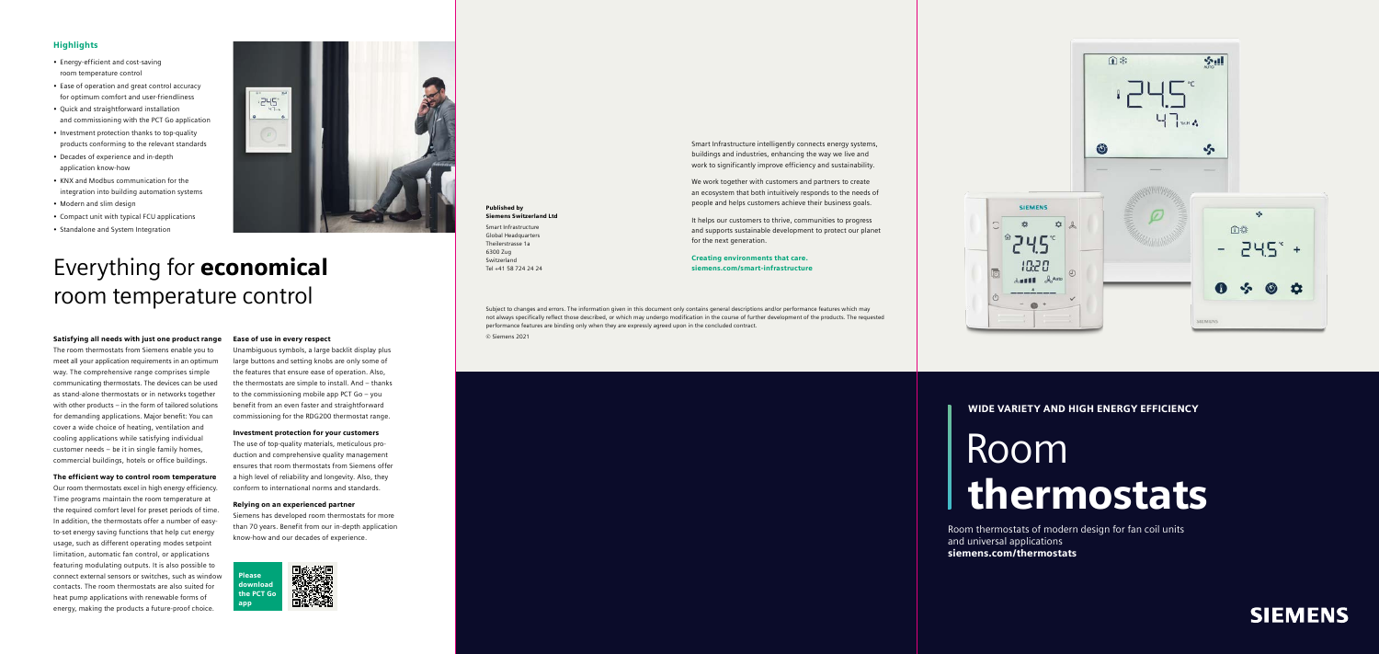### Satisfying all needs with just one product range

The room thermostats from Siemens enable you to meet all your application requirements in an optimum way. The comprehensive range comprises simple communicating thermostats. The devices can be used as stand-alone thermostats or in networks together with other products – in the form of tailored solutions for demanding applications. Major benefit: You can cover a wide choice of heating, ventilation and cooling applications while satisfying individual customer needs – be it in single family homes, commercial buildings, hotels or office buildings.

### The efficient way to control room temperature

Our room thermostats excel in high energy efficiency. Time programs maintain the room temperature at the required comfort level for preset periods of time. In addition, the thermostats offer a number of easyto-set energy saving functions that help cut energy usage, such as different operating modes setpoint limitation, automatic fan control, or applications featuring modulating outputs. It is also possible to connect external sensors or switches, such as window contacts. The room thermostats are also suited for heat pump applications with renewable forms of energy, making the products a future-proof choice.

#### Ease of use in every respect

Unambiguous symbols, a large backlit display plus large buttons and setting knobs are only some of the features that ensure ease of operation. Also, the thermostats are simple to install. And – thanks to the commissioning mobile app PCT Go – you benefit from an even faster and straightforward commissioning for the RDG200 thermostat range.

#### Investment protection for your customers

The use of top-quality materials, meticulous production and comprehensive quality management ensures that room thermostats from Siemens offer a high level of reliability and longevity. Also, they conform to international norms and standards.

### Relying on an experienced partner

Siemens has developed room thermostats for more than 70 years. Benefit from our in-depth application know-how and our decades of experience.

WIDE VARIETY AND HIGH ENERGY EFFICIENCY

# Room thermostats

Room thermostats of modern design for fan coil units and universal applications siemens.com/thermostats



### **Highlights**

- Energy-efficient and cost-saving room temperature control
- Ease of operation and great control accuracy for optimum comfort and user-friendliness
- Quick and straightforward installation and commissioning with the PCT Go application
- Investment protection thanks to top-quality products conforming to the relevant standards
- Decades of experience and in-depth application know-how
- KNX and Modbus communication for the integration into building automation systems
- Modern and slim design
- Compact unit with typical FCU applications
- Standalone and System Integration

### Everything for economical room temperature control

Please download the PCT Go app

|                                | Sm<br>bui |
|--------------------------------|-----------|
|                                | <b>WO</b> |
|                                | We        |
|                                | an        |
| <b>Published by</b>            | pe        |
| <b>Siemens Switzerland Ltd</b> |           |
|                                | It h      |
| Smart Infrastructure           | an        |
| <b>Global Headquarters</b>     | for       |
| Theilerstrasse 1a              |           |
| 6300 Zug                       |           |
| Switzerland                    | Cro       |
| Tel +41 58 724 24 24           | sie       |

Subject to changes and errors. The information given in this document only contains general descriptions and/or performance features which may not always specifically reflect those described, or which may undergo modification in the course of further development of the products. The requested performance features are binding only when they are expressly agreed upon in the concluded contract. © Siemens 2021





nart Infrastructure intelligently connects energy systems, ildings and industries, enhancing the way we live and ork to significantly improve efficiency and sustainability.

work together with customers and partners to create ecosystem that both intuitively responds to the needs of ople and helps customers achieve their business goals.

ielps our customers to thrive, communities to progress d supports sustainable development to protect our planet the next generation.

eating environments that care. mens.com/smart-infrastructure